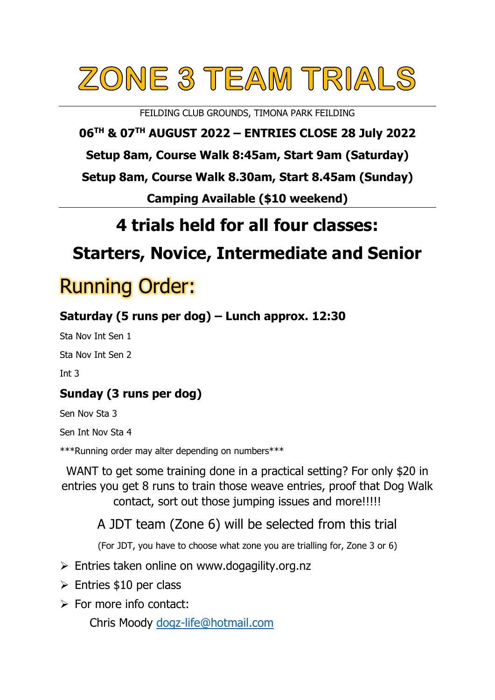# ZONE 3 TEAM TRIALS

FEILDING CLUB GROUNDS, TIMONA PARK FEILDING

**06 TH & 07 TH AUGUST 2022 – ENTRIES CLOSE 28 July 2022**

**Setup 8am, Course Walk 8:45am, Start 9am (Saturday)**

**Setup 8am, Course Walk 8.30am, Start 8.45am (Sunday)**

**Camping Available (\$10 weekend)**

## **4 trials held for all four classes:**

## **Starters, Novice, Intermediate and Senior**

## Running Order:

## **Saturday (5 runs per dog) – Lunch approx. 12:30**

Sta Nov Int Sen 1

Sta Nov Int Sen 2

Int 3

## **Sunday (3 runs per dog)**

Sen Nov Sta 3

Sen Int Nov Sta 4

\*\*\*Running order may alter depending on numbers\*\*\*

WANT to get some training done in a practical setting? For only \$20 in entries you get 8 runs to train those weave entries, proof that Dog Walk contact, sort out those jumping issues and more!!!!!

A JDT team (Zone 6) will be selected from this trial

(For JDT, you have to choose what zone you are trialling for, Zone 3 or 6)

- ➢ Entries taken online on [www.dogagility.org.nz](http://www.dogagility.org.nz/)
- $\triangleright$  Entries \$10 per class
- $\triangleright$  For more info contact:

Chris Moody [dogz-life@hotmail.com](mailto:dogz-life@hotmail.com)